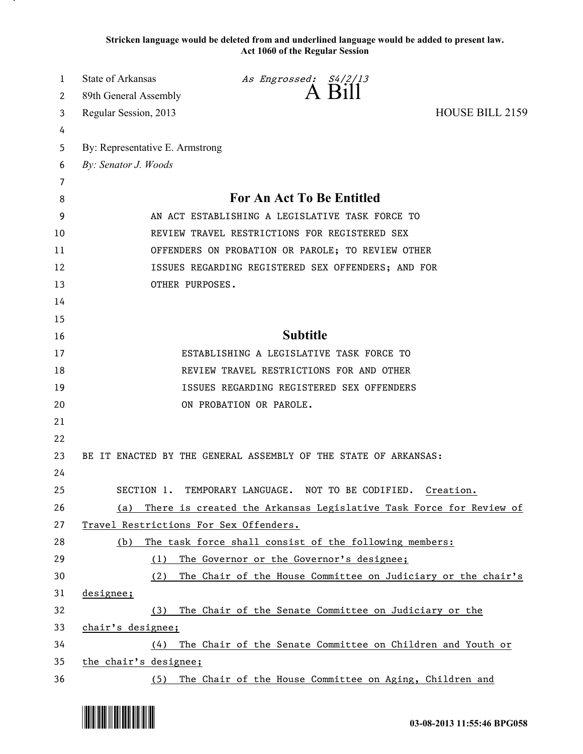**Stricken language would be deleted from and underlined language would be added to present law. Act 1060 of the Regular Session**

| 1  | State of Arkansas                                  | As Engrossed: S4/2/13                                              |                 |  |
|----|----------------------------------------------------|--------------------------------------------------------------------|-----------------|--|
| 2  | 89th General Assembly                              | $A$ B <sub>1</sub> $\parallel$                                     |                 |  |
| 3  | Regular Session, 2013                              |                                                                    | HOUSE BILL 2159 |  |
| 4  |                                                    |                                                                    |                 |  |
| 5  | By: Representative E. Armstrong                    |                                                                    |                 |  |
| 6  | By: Senator J. Woods                               |                                                                    |                 |  |
| 7  |                                                    |                                                                    |                 |  |
| 8  | <b>For An Act To Be Entitled</b>                   |                                                                    |                 |  |
| 9  | AN ACT ESTABLISHING A LEGISLATIVE TASK FORCE TO    |                                                                    |                 |  |
| 10 | REVIEW TRAVEL RESTRICTIONS FOR REGISTERED SEX      |                                                                    |                 |  |
| 11 | OFFENDERS ON PROBATION OR PAROLE; TO REVIEW OTHER  |                                                                    |                 |  |
| 12 | ISSUES REGARDING REGISTERED SEX OFFENDERS; AND FOR |                                                                    |                 |  |
| 13 | OTHER PURPOSES.                                    |                                                                    |                 |  |
| 14 |                                                    |                                                                    |                 |  |
| 15 |                                                    |                                                                    |                 |  |
| 16 |                                                    | <b>Subtitle</b>                                                    |                 |  |
| 17 |                                                    | ESTABLISHING A LEGISLATIVE TASK FORCE TO                           |                 |  |
| 18 | REVIEW TRAVEL RESTRICTIONS FOR AND OTHER           |                                                                    |                 |  |
| 19 | ISSUES REGARDING REGISTERED SEX OFFENDERS          |                                                                    |                 |  |
| 20 | ON PROBATION OR PAROLE.                            |                                                                    |                 |  |
| 21 |                                                    |                                                                    |                 |  |
| 22 |                                                    |                                                                    |                 |  |
| 23 |                                                    | BE IT ENACTED BY THE GENERAL ASSEMBLY OF THE STATE OF ARKANSAS:    |                 |  |
| 24 |                                                    |                                                                    |                 |  |
| 25 | SECTION 1.                                         | TEMPORARY LANGUAGE. NOT TO BE CODIFIED.                            | Creation.       |  |
| 26 | (a)                                                | There is created the Arkansas Legislative Task Force for Review of |                 |  |
| 27 | Travel Restrictions For Sex Offenders.             |                                                                    |                 |  |
| 28 | (b)                                                | The task force shall consist of the following members:             |                 |  |
| 29 | (1)                                                | The Governor or the Governor's designee;                           |                 |  |
| 30 | (2)                                                | The Chair of the House Committee on Judiciary or the chair's       |                 |  |
| 31 | designee;                                          |                                                                    |                 |  |
| 32 | (3)                                                | The Chair of the Senate Committee on Judiciary or the              |                 |  |
| 33 | chair's designee;                                  |                                                                    |                 |  |
| 34 | (4)                                                | The Chair of the Senate Committee on Children and Youth or         |                 |  |
| 35 | the chair's designee;                              |                                                                    |                 |  |
| 36 | (5)                                                | The Chair of the House Committee on Aging, Children and            |                 |  |

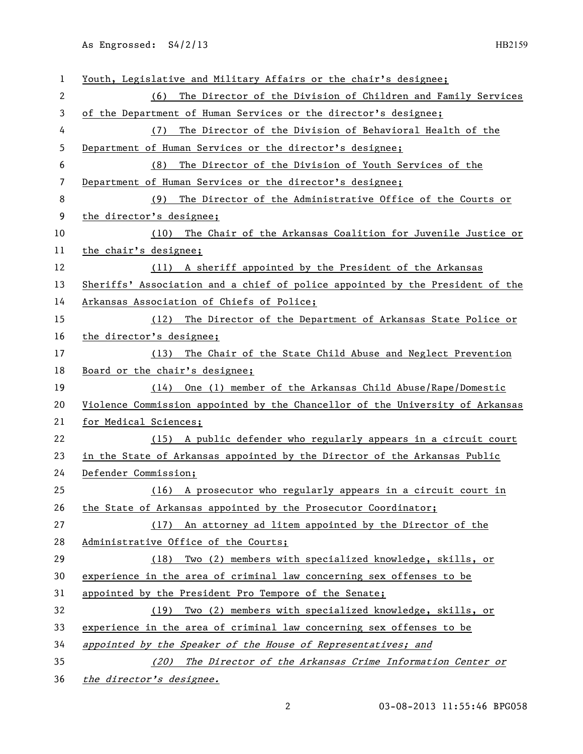As Engrossed: S4/2/13 HB2159

| $\mathbf{1}$ | Youth, Legislative and Military Affairs or the chair's designee;              |  |  |
|--------------|-------------------------------------------------------------------------------|--|--|
| $\mathbf{2}$ | The Director of the Division of Children and Family Services<br>(6)           |  |  |
| 3            | of the Department of Human Services or the director's designee;               |  |  |
| 4            | The Director of the Division of Behavioral Health of the<br>(7)               |  |  |
| 5            | Department of Human Services or the director's designee;                      |  |  |
| 6            | The Director of the Division of Youth Services of the<br>(8)                  |  |  |
| 7            | Department of Human Services or the director's designee;                      |  |  |
| 8            | The Director of the Administrative Office of the Courts or<br>(9)             |  |  |
| 9            | the director's designee;                                                      |  |  |
| 10           | (10) The Chair of the Arkansas Coalition for Juvenile Justice or              |  |  |
| 11           | the chair's designee;                                                         |  |  |
| 12           | (11) A sheriff appointed by the President of the Arkansas                     |  |  |
| 13           | Sheriffs' Association and a chief of police appointed by the President of the |  |  |
| 14           | Arkansas Association of Chiefs of Police;                                     |  |  |
| 15           | (12) The Director of the Department of Arkansas State Police or               |  |  |
| 16           | the director's designee;                                                      |  |  |
| 17           | (13) The Chair of the State Child Abuse and Neglect Prevention                |  |  |
| 18           | Board or the chair's designee;                                                |  |  |
| 19           | $(14)$ One (1) member of the Arkansas Child Abuse/Rape/Domestic               |  |  |
| 20           | Violence Commission appointed by the Chancellor of the University of Arkansas |  |  |
| 21           | for Medical Sciences;                                                         |  |  |
| 22           | (15) A public defender who regularly appears in a circuit court               |  |  |
| 23           | in the State of Arkansas appointed by the Director of the Arkansas Public     |  |  |
| 24           | Defender Commission;                                                          |  |  |
| 25           | (16) A prosecutor who regularly appears in a circuit court in                 |  |  |
| 26           | the State of Arkansas appointed by the Prosecutor Coordinator;                |  |  |
| 27           | (17) An attorney ad litem appointed by the Director of the                    |  |  |
| 28           | Administrative Office of the Courts;                                          |  |  |
| 29           | (18) Two (2) members with specialized knowledge, skills, or                   |  |  |
| 30           | experience in the area of criminal law concerning sex offenses to be          |  |  |
| 31           | appointed by the President Pro Tempore of the Senate;                         |  |  |
| 32           | (19) Two (2) members with specialized knowledge, skills, or                   |  |  |
| 33           | experience in the area of criminal law concerning sex offenses to be          |  |  |
| 34           | appointed by the Speaker of the House of Representatives; and                 |  |  |
| 35           | (20) The Director of the Arkansas Crime Information Center or                 |  |  |
| 36           | the director's designee.                                                      |  |  |

03-08-2013 11:55:46 BPG058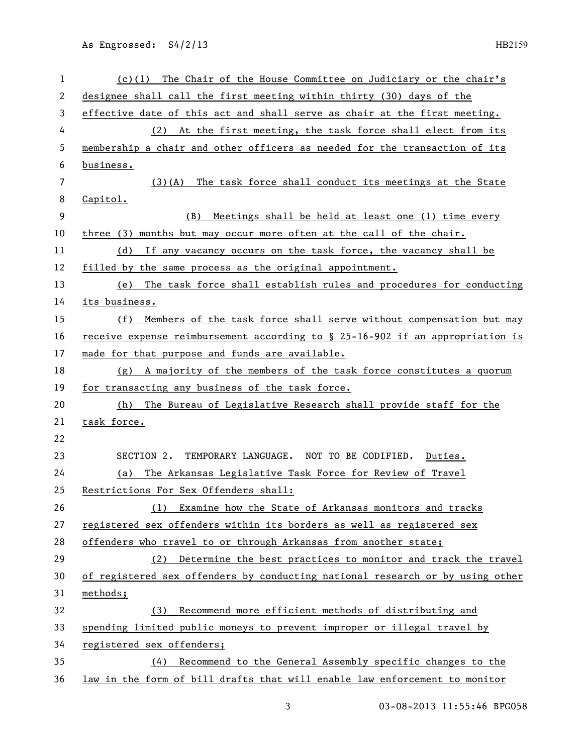As Engrossed: S4/2/13 HB2159

| 1  | $(c)(1)$ The Chair of the House Committee on Judiciary or the chair's         |  |
|----|-------------------------------------------------------------------------------|--|
| 2  | designee shall call the first meeting within thirty (30) days of the          |  |
| 3  | effective date of this act and shall serve as chair at the first meeting.     |  |
| 4  | (2) At the first meeting, the task force shall elect from its                 |  |
| 5  | membership a chair and other officers as needed for the transaction of its    |  |
| 6  | business.                                                                     |  |
| 7  | (3)(A) The task force shall conduct its meetings at the State                 |  |
| 8  | Capitol.                                                                      |  |
| 9  | Meetings shall be held at least one (1) time every<br>(B)                     |  |
| 10 | three (3) months but may occur more often at the call of the chair.           |  |
| 11 | (d) If any vacancy occurs on the task force, the vacancy shall be             |  |
| 12 | filled by the same process as the original appointment.                       |  |
| 13 | (e) The task force shall establish rules and procedures for conducting        |  |
| 14 | its business.                                                                 |  |
| 15 | (f) Members of the task force shall serve without compensation but may        |  |
| 16 | receive expense reimbursement according to § 25-16-902 if an appropriation is |  |
| 17 | made for that purpose and funds are available.                                |  |
| 18 | (g) A majority of the members of the task force constitutes a quorum          |  |
| 19 | for transacting any business of the task force.                               |  |
| 20 | (h) The Bureau of Legislative Research shall provide staff for the            |  |
| 21 | task force.                                                                   |  |
| 22 |                                                                               |  |
| 23 | SECTION 2. TEMPORARY LANGUAGE. NOT TO BE CODIFIED. Duties.                    |  |
| 24 | The Arkansas Legislative Task Force for Review of Travel<br>(a)               |  |
| 25 | Restrictions For Sex Offenders shall:                                         |  |
| 26 | (1) Examine how the State of Arkansas monitors and tracks                     |  |
| 27 | registered sex offenders within its borders as well as registered sex         |  |
| 28 | offenders who travel to or through Arkansas from another state;               |  |
| 29 | Determine the best practices to monitor and track the travel<br>(2)           |  |
| 30 | of registered sex offenders by conducting national research or by using other |  |
| 31 | methods;                                                                      |  |
| 32 | (3) Recommend more efficient methods of distributing and                      |  |
| 33 | spending limited public moneys to prevent improper or illegal travel by       |  |
| 34 | registered sex offenders;                                                     |  |
| 35 | (4) Recommend to the General Assembly specific changes to the                 |  |
| 36 | law in the form of bill drafts that will enable law enforcement to monitor    |  |

03-08-2013 11:55:46 BPG058